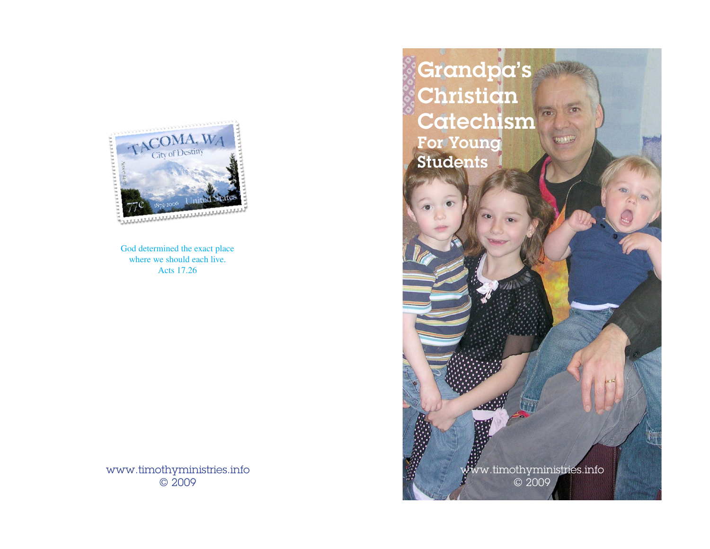

God determined the exact place where we should each live. Acts 17.26

www.timothyministries.info © 2009

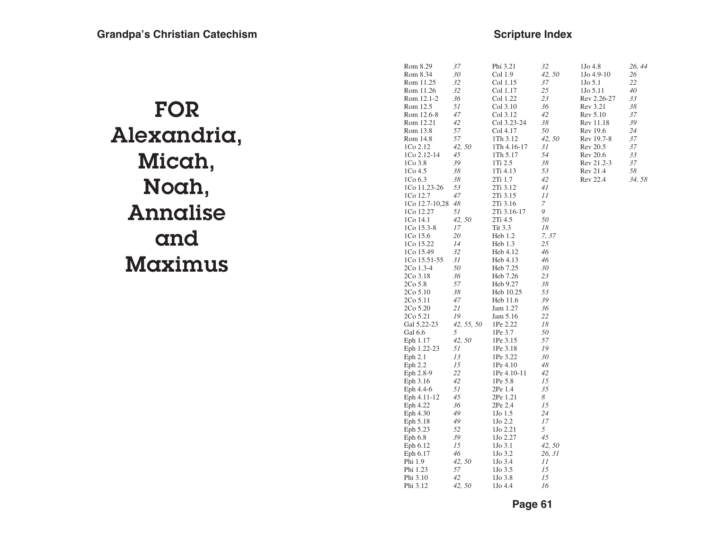### **Scripture Index**

| FOR         |
|-------------|
| Alexandria, |
| Micah,      |
| Noah,       |
| Annalise    |
| and         |
| Maximus     |

|                       |            |                     | 32     | 1Jo 4.8               |              |
|-----------------------|------------|---------------------|--------|-----------------------|--------------|
| Rom 8.29              | 37<br>30   | Phi 3.21            | 42, 50 |                       | 26, 44<br>26 |
| Rom 8.34<br>Rom 11.25 | 32         | Col 1.9<br>Col 1.15 | 37     | 1Jo 4.9-10<br>1Jo 5.1 | 22           |
| Rom 11.26             | 32         | Col 1.17            | 25     | 1Jo 5.11              | 40           |
| Rom 12.1-2            | 36         | Col 1.22            | 23     | Rev 2.26-27           | 33           |
| Rom 12.5              | 51         | Col 3.10            | 36     | Rev 3.21              | 38           |
| Rom 12.6-8            | 47         | Col 3.12            | 42     | Rev 5.10              | 37           |
| Rom 12.21             | 42         | Col 3.23-24         | 38     | Rev 11.18             | 39           |
| Rom 13.8              | 57         | Col 4.17            | 50     | Rev 19.6              | 24           |
| Rom 14.8              | 57         | 1Th 3.12            | 42, 50 | Rev 19.7-8            | 37           |
| 1Co 2.12              | 42,50      | 1Th 4.16-17         | 31     | Rev 20.5              | 37           |
| 1Co 2.12-14           | 45         | 1Th 5.17            | 54     | <b>Rev 20.6</b>       | 33           |
| 1Co 3.8               | 39         | 1Ti 2.5             | 38     | Rev 21.2-3            | 37           |
| 1Co 4.5               | 38         | 1Ti 4.13            | 53     | Rev 21.4              | 58           |
| 1Co 6.3               | 38         | 2Ti 1.7             | 42     | Rev 22.4              | 34,58        |
| 1Co 11.23-26          | 53         | 2Ti 3.12            | 41     |                       |              |
| 1Co 12.7              | 47         | 2Ti 3.15            | 11     |                       |              |
| 1Co 12.7-10,28        | 48         | 2Ti 3.16            | 7      |                       |              |
| 1Co 12.27             | 51         | 2Ti 3.16-17         | 9      |                       |              |
| 1Co 14.1              | 42, 50     | 2Ti 4.5             | 50     |                       |              |
| 1Co 15.3-8            | 17         | Tit 3.3             | 18     |                       |              |
| 1Co 15.6              | 20         | Heb 1.2             | 7, 37  |                       |              |
| 1Co 15.22             | 14         | Heb 1.3             | 25     |                       |              |
| 1Co 15.49             | 32         | Heb 4.12            | 46     |                       |              |
| 1Co 15.51-55          | 31         | Heb 4.13            | 46     |                       |              |
| 2Co 1.3-4             | 50         | Heb 7.25            | 30     |                       |              |
| 2Co 3.18              | 36         | Heb 7.26            | 23     |                       |              |
| 2Co 5.8               | 57         | Heb 9.27            | 38     |                       |              |
| 2Co 5.10              | 38         | Heb 10.25           | 53     |                       |              |
| 2Co 5.11              | 47         | Heb 11.6            | 39     |                       |              |
| 2Co 5.20              | 21         | Jam 1.27            | 36     |                       |              |
| 2Co 5.21              | 19         | Jam 5.16            | 22     |                       |              |
| Gal 5.22-23           | 42, 55, 50 | 1Pe 2.22            | 18     |                       |              |
| Gal 6.6               | 5          | 1Pe 3.7             | 50     |                       |              |
| Eph 1.17              | 42, 50     | 1Pe 3.15            | 57     |                       |              |
| Eph 1.22-23           | 51         | 1Pe 3.18            | 19     |                       |              |
| Eph 2.1               | 13         | 1Pe 3.22            | 30     |                       |              |
| Eph 2.2               | 15         | 1Pe 4.10            | 48     |                       |              |
| Eph 2.8-9             | 22         | 1Pe 4.10-11         | 42     |                       |              |
| Eph 3.16              | 42         | 1Pe 5.8             | 15     |                       |              |
| Eph 4.4-6             | 51         | 2Pe 1.4             | 35     |                       |              |
| Eph 4.11-12           | 45         | 2Pe 1.21            | 8      |                       |              |
| Eph 4.22              | 36         | 2Pe 2.4             | 15     |                       |              |
| Eph 4.30              | 49         | 1Jo 1.5             | 24     |                       |              |
| Eph 5.18              | 49         | 1Jo 2.2             | 17     |                       |              |
| Eph 5.23              | 52         | 1Jo 2.21            | 5      |                       |              |
| Eph 6.8               | 39         | 1Jo 2.27            | 45     |                       |              |
| Eph 6.12              | 15         | 1Jo 3.1             | 42, 50 |                       |              |
| Eph 6.17              | 46         | 1Jo 3.2             | 26, 31 |                       |              |
| Phi 1.9               | 42, 50     | 1Jo 3.4             | 11     |                       |              |
| Phi 1.23              | 57         | 1Jo 3.5             | 15     |                       |              |
| Phi 3.10              | 42         | 1Jo 3.8             | 15     |                       |              |
| Phi 3.12              | 42, 50     | 1Jo 4.4             | 16     |                       |              |
|                       |            |                     |        |                       |              |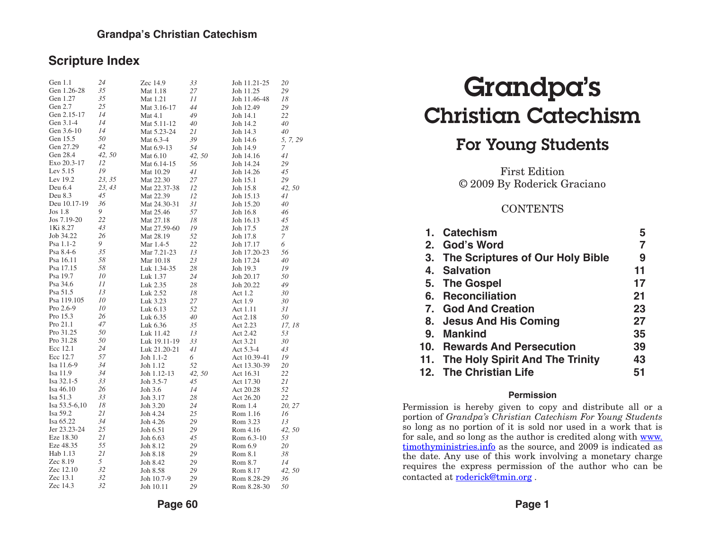#### **Scripture Index**

| Gen 1.1            | 24     | Zec 14.9     | 33     | Joh 11.21-25 | 20       |
|--------------------|--------|--------------|--------|--------------|----------|
| Gen 1.26-28        | 35     | Mat 1.18     | 27     | Joh 11.25    | 29       |
| Gen 1.27           | 35     | Mat 1.21     | 11     | Joh 11.46-48 | 18       |
| Gen 2.7            | 25     | Mat 3.16-17  | 44     | Joh 12.49    | 29       |
| Gen 2.15-17        | 14     | Mat 4.1      | 49     | Joh 14.1     | 22       |
| Gen 3.1-4          | 14     | Mat 5.11-12  | 40     | Joh 14.2     | 40       |
| Gen 3.6-10         | 14     | Mat 5.23-24  | 21     | Joh 14.3     | 40       |
| Gen 15.5           | 50     | Mat 6.3-4    | 39     | Joh 14.6     | 5, 7, 29 |
| Gen 27.29          | 42     | Mat 6.9-13   | 54     | Joh 14.9     | 7        |
| Gen 28.4           | 42, 50 | Mat 6.10     | 42, 50 | Joh 14.16    | 41       |
| Exo 20.3-17        | 12     | Mat 6.14-15  | 56     | Joh 14.24    | 29       |
| Lev $5.15$         | 19     | Mat 10.29    | 41     | Joh 14.26    | 45       |
| Lev 19.2           | 23, 35 | Mat 22.30    | 27     | Joh 15.1     | 29       |
| Deu 6.4            | 23, 43 | Mat 22.37-38 | 12     | Joh 15.8     | 42, 50   |
| Deu 8.3            | 45     | Mat 22.39    | 12     | Joh 15.13    | 41       |
| Deu 10.17-19       | 36     | Mat 24.30-31 | 31     | Joh 15.20    | 40       |
| Jos <sub>1.8</sub> | 9      | Mat 25.46    | 57     | Joh 16.8     | 46       |
| Jos 7.19-20        | 22     | Mat 27.18    | 18     | Joh 16.13    | 45       |
| 1Ki 8.27           | 43     | Mat 27.59-60 | 19     | Joh 17.5     | 28       |
| Job 34.22          | 26     | Mat 28.19    | 52     | Joh 17.8     | 7        |
| Psa 1.1-2          | 9      | Mar 1.4-5    | 22     | Joh 17.17    | 6        |
| Psa 8.4-6          | 35     | Mar 7.21-23  | 13     | Joh 17.20-23 | 56       |
| Psa 16.11          | 58     | Mar 10.18    | 23     | Joh 17.24    | 40       |
| Psa 17.15          | 58     | Luk 1.34-35  | 28     | Joh 19.3     | 19       |
| Psa 19.7           | 10     | Luk 1.37     | 24     | Joh 20.17    | 50       |
| Psa 34.6           | 11     | Luk 2.35     | 28     | Joh 20.22    | 49       |
| Psa 51.5           | 13     | Luk 2.52     | 18     | Act 1.2      | 30       |
| Psa 119.105        | 10     | Luk 3.23     | 27     | Act 1.9      | 30       |
| Pro 2.6-9          | 10     | Luk 6.13     | 52     | Act 1.11     | 31       |
| Pro 15.3           | 26     | Luk 6.35     | 40     | Act 2.18     | 50       |
| Pro 21.1           | 47     | Luk 6.36     | 35     | Act 2.23     | 17, 18   |
| Pro 31.25          | 50     | Luk 11.42    | 13     | Act 2.42     | 53       |
| Pro 31.28          | 50     | Luk 19.11-19 | 33     | Act 3.21     | 30       |
| Ecc 12.1           | 24     | Luk 21.20-21 | 41     | Act 5.3-4    | 43       |
| Ecc 12.7           | 57     | Joh 1.1-2    | 6      | Act 10.39-41 | 19       |
| Isa 11.6-9         | 34     | Joh 1.12     | 52     | Act 13.30-39 | 20       |
| Isa 11.9           | 34     | Joh 1.12-13  | 42, 50 | Act 16.31    | 22       |
| Isa 32.1-5         | 33     | Joh 3.5-7    | 45     | Act 17.30    | 21       |
| Isa 46.10          | 26     | Joh 3.6      | 14     | Act 20.28    | 52       |
| Isa 51.3           | 33     | Joh 3.17     | 28     | Act 26.20    | 22       |
| Isa 53.5-6,10      | 18     | Joh 3.20     | 24     | Rom 1.4      | 20, 27   |
| Isa 59.2           | 21     | Joh 4.24     | 25     | Rom 1.16     | 16       |
| Isa 65.22          | 34     | Joh 4.26     | 29     | Rom 3.23     | 13       |
| Jer 23.23-24       | 25     | Joh 6.51     | 29     | Rom 4.16     | 42, 50   |
| Eze 18.30          | 21     | Joh 6.63     | 45     | Rom 6.3-10   | 53       |
| Eze 48.35          | 55     | Joh 8.12     | 29     | Rom 6.9      | 20       |
| Hab 1.13           | 21     | Joh 8.18     | 29     | Rom 8.1      | 38       |
| Zec 8.19           | 5      | Joh 8.42     | 29     | Rom 8.7      | 14       |
| Zec 12.10          | 32     | Joh 8.58     | 29     | Rom 8.17     | 42,50    |
| Zec 13.1           | 32     | Joh 10.7-9   | 29     | Rom 8.28-29  | 36       |
| Zec 14.3           | 32     | Joh 10.11    | 29     | Rom 8.28-30  | 50       |
|                    |        |              |        |              |          |

# Grandpa's Christian Catechism

### For Young Students

First Edition © 2009 By Roderick Graciano

#### **CONTENTS**

|    | 1. Catechism                        | 5  |
|----|-------------------------------------|----|
|    | 2. God's Word                       | 7  |
|    | 3. The Scriptures of Our Holy Bible | 9  |
|    | 4. Salvation                        | 11 |
|    | 5. The Gospel                       | 17 |
| 6. | <b>Reconciliation</b>               | 21 |
|    | 7. God And Creation                 | 23 |
|    | 8. Jesus And His Coming             | 27 |
|    | 9. Mankind                          | 35 |
|    | 10. Rewards And Persecution         | 39 |
|    | 11. The Holy Spirit And The Trinity | 43 |
|    | 12. The Christian Life              | 51 |
|    |                                     |    |

#### **Permission**

Permission is hereby given to copy and distribute all or a portion of *Grandpa's Christian Catechism For Young Students* so long as no portion of it is sold nor used in a work that is for sale, and so long as the author is credited along with www. timothyministries.info as the source, and 2009 is indicated as the date. Any use of this work involving a monetary charge requires the express permission of the author who can be contacted at [roderick@tmin.org](mailto:roderick@tmin.org) .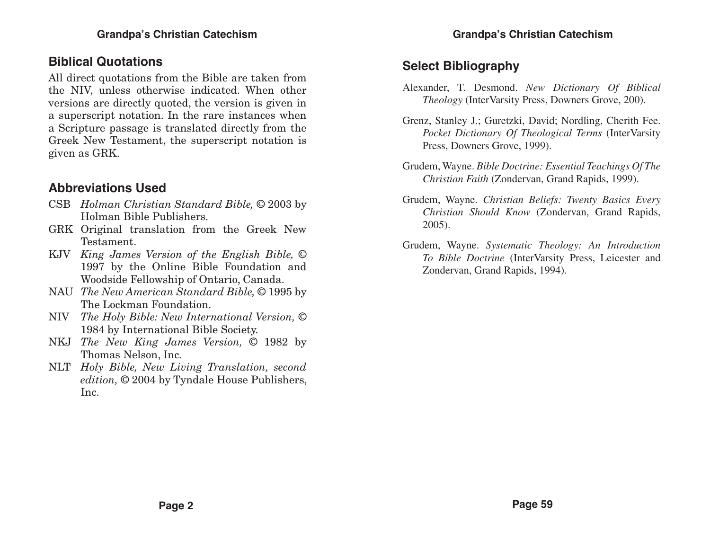### **Biblical Quotations**

All direct quotations from the Bible are taken from the NIV, unless otherwise indicated. When other versions are directly quoted, the version is given in a superscript notation. In the rare instances when a Scripture passage is translated directly from the Greek New Testament, the superscript notation is given as GRK.

### **Abbreviations Used**

- CSB *Holman Christian Standard Bible,* © 2003 by Holman Bible Publishers.
- GRK Original translation from the Greek New Testament.
- KJV *King James Version of the English Bible,* © 1997 by the Online Bible Foundation and Woodside Fellowship of Ontario, Canada.
- NAU *The New American Standard Bible,* © 1995 by The Lockman Foundation.
- NIV *The Holy Bible: New International Version,* © 1984 by International Bible Society.
- NKJ *The New King James Version,* © 1982 by Thomas Nelson, Inc.
- NLT *Holy Bible, New Living Translation, second edition,* © 2004 by Tyndale House Publishers, Inc.

### **Select Bibliography**

- Alexander, T. Desmond. *New Dictionary Of Biblical Theology* (InterVarsity Press, Downers Grove, 200).
- Grenz, Stanley J.; Guretzki, David; Nordling, Cherith Fee. *Pocket Dictionary Of Theological Terms* (InterVarsity Press, Downers Grove, 1999).
- Grudem, Wayne. *Bible Doctrine: Essential Teachings Of The Christian Faith* (Zondervan, Grand Rapids, 1999).
- Grudem, Wayne. *Christian Beliefs: Twenty Basics Every Christian Should Know* (Zondervan, Grand Rapids, 2005).
- Grudem, Wayne. *Systematic Theology: An Introduction To Bible Doctrine* (InterVarsity Press, Leicester and Zondervan, Grand Rapids, 1994).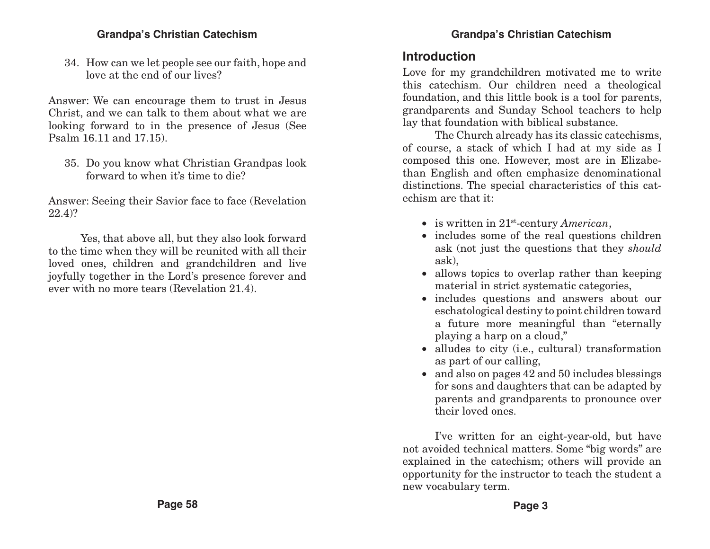34. How can we let people see our faith, hope and love at the end of our lives?

Answer: We can encourage them to trust in Jesus Christ, and we can talk to them about what we are looking forward to in the presence of Jesus (See Psalm 16.11 and 17.15).

35. Do you know what Christian Grandpas look forward to when it's time to die?

Answer: Seeing their Savior face to face (Revelation 22.4)?

Yes, that above all, but they also look forward to the time when they will be reunited with all their loved ones, children and grandchildren and live joyfully together in the Lord's presence forever and ever with no more tears (Revelation 21.4).

### **Introduction**

Love for my grandchildren motivated me to write this catechism. Our children need a theological foundation, and this little book is a tool for parents, grandparents and Sunday School teachers to help lay that foundation with biblical substance.

The Church already has its classic catechisms, of course, a stack of which I had at my side as I composed this one. However, most are in Elizabethan English and often emphasize denominational distinctions. The special characteristics of this catechism are that it:

- is written in 21<sup>st</sup>-century *American*,
- includes some of the real questions children ask (not just the questions that they *should* ask),
- allows topics to overlap rather than keeping material in strict systematic categories,
- includes questions and answers about our eschatological destiny to point children toward a future more meaningful than "eternally playing a harp on a cloud,"
- alludes to city (i.e., cultural) transformation as part of our calling,
- $\bullet$  and also on pages 42 and 50 includes blessings for sons and daughters that can be adapted by parents and grandparents to pronounce over their loved ones.

I've written for an eight-year-old, but have not avoided technical matters. Some "big words" are explained in the catechism; others will provide an opportunity for the instructor to teach the student a new vocabulary term.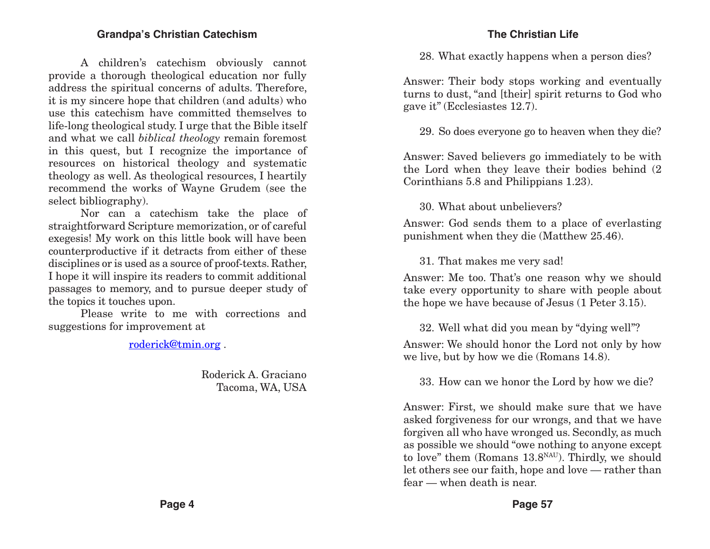A children's catechism obviously cannot provide a thorough theological education nor fully address the spiritual concerns of adults. Therefore, it is my sincere hope that children (and adults) who use this catechism have committed themselves to life-long theological study. I urge that the Bible itself and what we call *biblical theology* remain foremost in this quest, but I recognize the importance of resources on historical theology and systematic theology as well. As theological resources, I heartily recommend the works of Wayne Grudem (see the select bibliography).

Nor can a catechism take the place of straightforward Scripture memorization, or of careful exegesis! My work on this little book will have been counterproductive if it detracts from either of these disciplines or is used as a source of proof-texts. Rather, I hope it will inspire its readers to commit additional passages to memory, and to pursue deeper study of the topics it touches upon.

Please write to me with corrections and suggestions for improvement at

[roderick@tmin.org](mailto:roderick@tmin.org) .

Roderick A. Graciano Tacoma, WA, USA

#### **The Christian Life**

28. What exactly happens when a person dies?

Answer: Their body stops working and eventually turns to dust, "and [their] spirit returns to God who gave it" (Ecclesiastes 12.7).

29. So does everyone go to heaven when they die?

Answer: Saved believers go immediately to be with the Lord when they leave their bodies behind (2 Corinthians 5.8 and Philippians 1.23).

30. What about unbelievers?

Answer: God sends them to a place of everlasting punishment when they die (Matthew 25.46).

31. That makes me very sad!

Answer: Me too. That's one reason why we should take every opportunity to share with people about the hope we have because of Jesus (1 Peter 3.15).

32. Well what did you mean by "dying well"?

Answer: We should honor the Lord not only by how we live, but by how we die (Romans 14.8).

33. How can we honor the Lord by how we die?

Answer: First, we should make sure that we have asked forgiveness for our wrongs, and that we have forgiven all who have wronged us. Secondly, as much as possible we should "owe nothing to anyone except to love" them (Romans 13.8NAU). Thirdly, we should let others see our faith, hope and love — rather than fear — when death is near.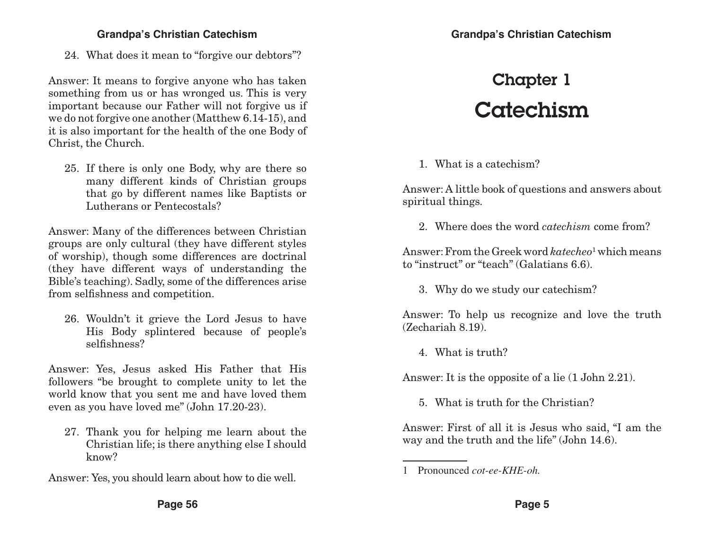24. What does it mean to "forgive our debtors"?

Answer: It means to forgive anyone who has taken something from us or has wronged us. This is very important because our Father will not forgive us if we do not forgive one another (Matthew 6.14-15), and it is also important for the health of the one Body of Christ, the Church.

25. If there is only one Body, why are there so many different kinds of Christian groups that go by different names like Baptists or Lutherans or Pentecostals?

Answer: Many of the differences between Christian groups are only cultural (they have different styles of worship), though some differences are doctrinal (they have different ways of understanding the Bible's teaching). Sadly, some of the differences arise from selfishness and competition.

26. Wouldn't it grieve the Lord Jesus to have His Body splintered because of people's selfishness?

Answer: Yes, Jesus asked His Father that His followers "be brought to complete unity to let the world know that you sent me and have loved them even as you have loved me" (John 17.20-23).

27. Thank you for helping me learn about the Christian life; is there anything else I should know?

Answer: Yes, you should learn about how to die well.

#### **Grandpa's Christian Catechism**

## Chapter 1 Catechism

#### 1. What is a catechism?

Answer: A little book of questions and answers about spiritual things.

2. Where does the word *catechism* come from?

Answer: From the Greek word *katecheo*<sup>1</sup> which means to "instruct" or "teach" (Galatians 6.6).

3. Why do we study our catechism?

Answer: To help us recognize and love the truth (Zechariah 8.19).

4. What is truth?

Answer: It is the opposite of a lie (1 John 2.21).

5. What is truth for the Christian?

Answer: First of all it is Jesus who said, "I am the way and the truth and the life" (John 14.6).

<sup>1</sup> Pronounced *cot-ee-KHE-oh.*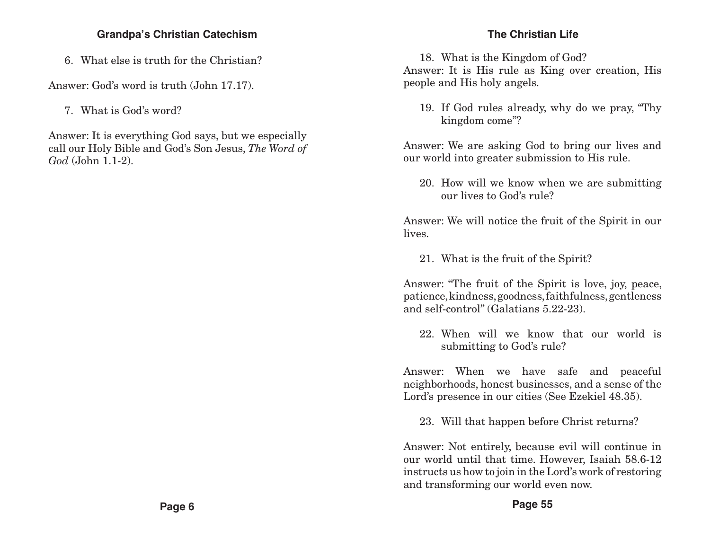6. What else is truth for the Christian?

Answer: God's word is truth (John 17.17).

7. What is God's word?

Answer: It is everything God says, but we especially call our Holy Bible and God's Son Jesus, *The Word of God* (John 1.1-2).

#### **The Christian Life**

18. What is the Kingdom of God?

Answer: It is His rule as King over creation, His people and His holy angels.

19. If God rules already, why do we pray, "Thy kingdom come"?

Answer: We are asking God to bring our lives and our world into greater submission to His rule.

20. How will we know when we are submitting our lives to God's rule?

Answer: We will notice the fruit of the Spirit in our lives.

21. What is the fruit of the Spirit?

Answer: "The fruit of the Spirit is love, joy, peace, patience, kindness, goodness, faithfulness, gentleness and self-control" (Galatians 5.22-23).

22. When will we know that our world is submitting to God's rule?

Answer: When we have safe and peaceful neighborhoods, honest businesses, and a sense of the Lord's presence in our cities (See Ezekiel 48.35).

23. Will that happen before Christ returns?

Answer: Not entirely, because evil will continue in our world until that time. However, Isaiah 58.6-12 instructs us how to join in the Lord's work of restoring and transforming our world even now.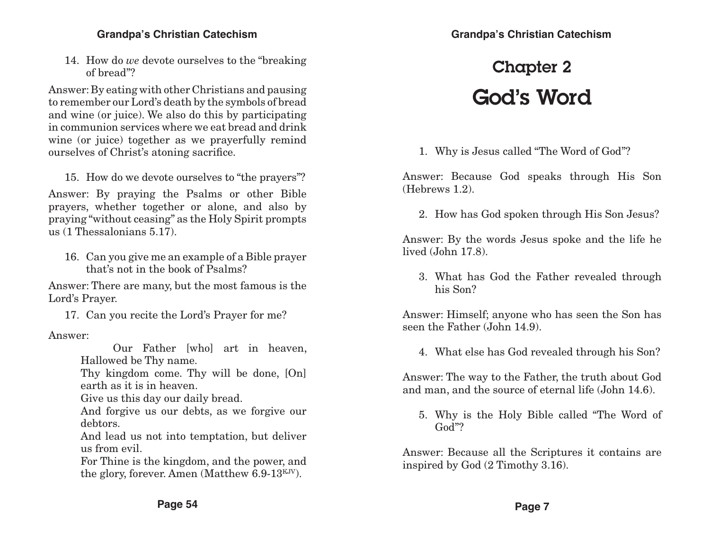14. How do *we* devote ourselves to the "breaking of bread"?

Answer: By eating with other Christians and pausing to remember our Lord's death by the symbols of bread and wine (or juice). We also do this by participating in communion services where we eat bread and drink wine (or juice) together as we prayerfully remind ourselves of Christ's atoning sacrifice.

15. How do we devote ourselves to "the prayers"?

Answer: By praying the Psalms or other Bible prayers, whether together or alone, and also by praying "without ceasing" as the Holy Spirit prompts us (1 Thessalonians 5.17).

16. Can you give me an example of a Bible prayer that's not in the book of Psalms?

Answer: There are many, but the most famous is the Lord's Prayer.

17. Can you recite the Lord's Prayer for me?

Answer:

Our Father [who] art in heaven, Hallowed be Thy name.

Thy kingdom come. Thy will be done, [On] earth as it is in heaven.

Give us this day our daily bread.

And forgive us our debts, as we forgive our debtors.

And lead us not into temptation, but deliver us from evil.

For Thine is the kingdom, and the power, and the glory, forever. Amen (Matthew 6.9-13<sup>KJV</sup>).

## Chapter 2 God's Word

1. Why is Jesus called "The Word of God"?

Answer: Because God speaks through His Son (Hebrews 1.2).

2. How has God spoken through His Son Jesus?

Answer: By the words Jesus spoke and the life he lived (John 17.8).

3. What has God the Father revealed through his Son?

Answer: Himself; anyone who has seen the Son has seen the Father (John 14.9).

4. What else has God revealed through his Son?

Answer: The way to the Father, the truth about God and man, and the source of eternal life (John 14.6).

5. Why is the Holy Bible called "The Word of God"?

Answer: Because all the Scriptures it contains are inspired by God (2 Timothy 3.16).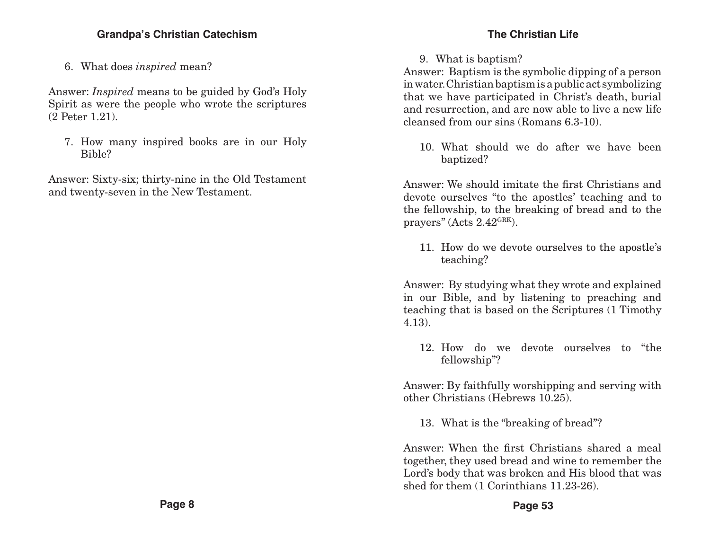6. What does *inspired* mean?

Answer: *Inspired* means to be guided by God's Holy Spirit as were the people who wrote the scriptures (2 Peter 1.21).

7. How many inspired books are in our Holy Bible?

Answer: Sixty-six; thirty-nine in the Old Testament and twenty-seven in the New Testament.

#### **The Christian Life**

#### 9. What is baptism?

Answer: Baptism is the symbolic dipping of a person in water. Christian baptism is a public act symbolizing that we have participated in Christ's death, burial and resurrection, and are now able to live a new life cleansed from our sins (Romans 6.3-10).

10. What should we do after we have been baptized?

Answer: We should imitate the first Christians and devote ourselves "to the apostles' teaching and to the fellowship, to the breaking of bread and to the prayers" (Acts 2.42GRK).

11. How do we devote ourselves to the apostle's teaching?

Answer: By studying what they wrote and explained in our Bible, and by listening to preaching and teaching that is based on the Scriptures (1 Timothy 4.13).

12. How do we devote ourselves to "the fellowship"?

Answer: By faithfully worshipping and serving with other Christians (Hebrews 10.25).

13. What is the "breaking of bread"?

Answer: When the first Christians shared a meal together, they used bread and wine to remember the Lord's body that was broken and His blood that was shed for them (1 Corinthians 11.23-26).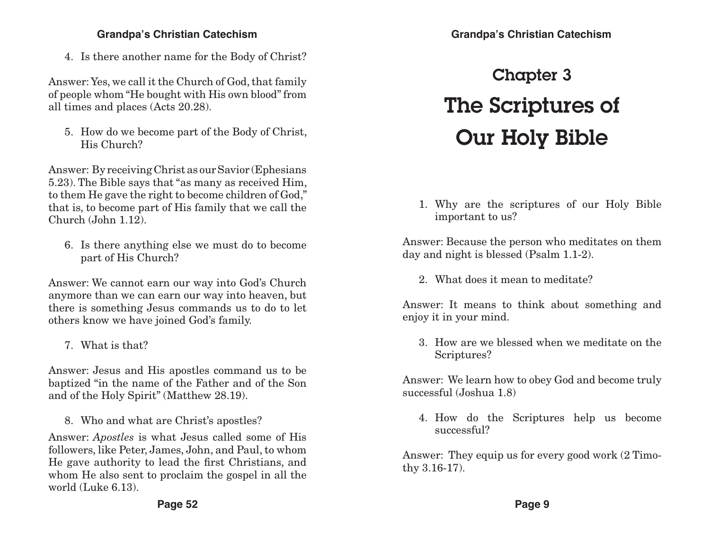4. Is there another name for the Body of Christ?

Answer: Yes, we call it the Church of God, that family of people whom "He bought with His own blood" from all times and places (Acts 20.28).

5. How do we become part of the Body of Christ, His Church?

Answer: By receiving Christ as our Savior (Ephesians 5.23). The Bible says that "as many as received Him, to them He gave the right to become children of God," that is, to become part of His family that we call the Church (John 1.12).

6. Is there anything else we must do to become part of His Church?

Answer: We cannot earn our way into God's Church anymore than we can earn our way into heaven, but there is something Jesus commands us to do to let others know we have joined God's family.

7. What is that?

Answer: Jesus and His apostles command us to be baptized "in the name of the Father and of the Son and of the Holy Spirit" (Matthew 28.19).

8. Who and what are Christ's apostles?

Answer: *Apostles* is what Jesus called some of His followers, like Peter, James, John, and Paul, to whom He gave authority to lead the first Christians, and whom He also sent to proclaim the gospel in all the world (Luke 6.13).

# Chapter 3 The Scriptures of Our Holy Bible

1. Why are the scriptures of our Holy Bible important to us?

Answer: Because the person who meditates on them day and night is blessed (Psalm 1.1-2).

2. What does it mean to meditate?

Answer: It means to think about something and enjoy it in your mind.

3. How are we blessed when we meditate on the Scriptures?

Answer: We learn how to obey God and become truly successful (Joshua 1.8)

4. How do the Scriptures help us become successful?

Answer: They equip us for every good work (2 Timothy 3.16-17).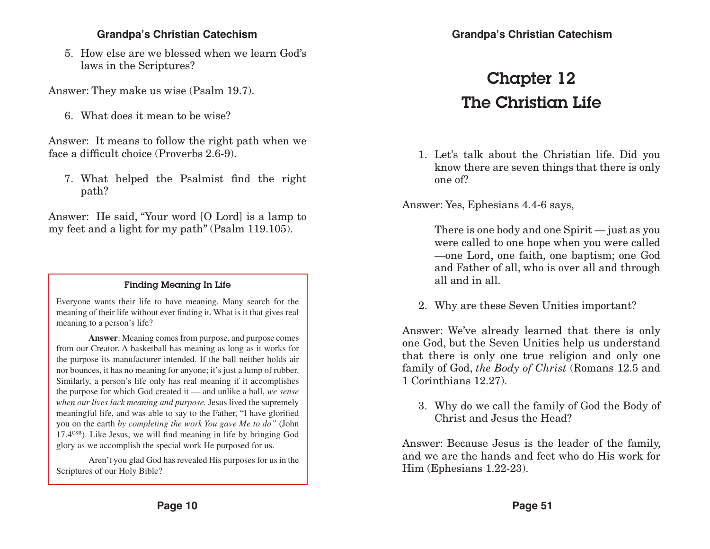5. How else are we blessed when we learn God's laws in the Scriptures?

Answer: They make us wise (Psalm 19.7).

6. What does it mean to be wise?

Answer: It means to follow the right path when we face a difficult choice (Proverbs 2.6-9).

7. What helped the Psalmist find the right path?

Answer: He said, "Your word [O Lord] is a lamp to my feet and a light for my path" (Psalm 119.105).

#### Finding Meaning In Life

Everyone wants their life to have meaning. Many search for the meaning of their life without ever finding it. What is it that gives real meaning to a person's life?

**Answer**: Meaning comes from purpose, and purpose comes from our Creator. A basketball has meaning as long as it works for the purpose its manufacturer intended. If the ball neither holds air nor bounces, it has no meaning for anyone; it's just a lump of rubber. Similarly, a person's life only has real meaning if it accomplishes the purpose for which God created it — and unlike a ball, *we sense when our lives lack meaning and purpose.* Jesus lived the supremely meaningful life, and was able to say to the Father, "I have glorified you on the earth *by completing the work You gave Me to do"* (John 17.4CSB). Like Jesus, we will find meaning in life by bringing God glory as we accomplish the special work He purposed for us.

Aren't you glad God has revealed His purposes for us in the Scriptures of our Holy Bible?

## Chapter 12 The Christian Life

1. Let's talk about the Christian life. Did you know there are seven things that there is only one of?

Answer: Yes, Ephesians 4.4-6 says,

There is one body and one Spirit — just as you were called to one hope when you were called —one Lord, one faith, one baptism; one God and Father of all, who is over all and through all and in all.

2. Why are these Seven Unities important?

Answer: We've already learned that there is only one God, but the Seven Unities help us understand that there is only one true religion and only one family of God, *the Body of Christ* (Romans 12.5 and 1 Corinthians 12.27).

3. Why do we call the family of God the Body of Christ and Jesus the Head?

Answer: Because Jesus is the leader of the family, and we are the hands and feet who do His work for Him (Ephesians 1.22-23).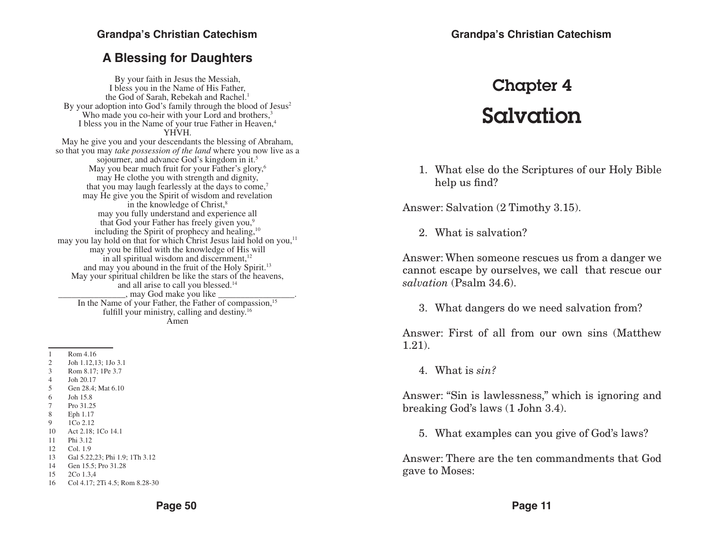### **A Blessing for Daughters**

By your faith in Jesus the Messiah, I bless you in the Name of His Father, the God of Sarah, Rebekah and Rachel.<sup>1</sup> By your adoption into God's family through the blood of Jesus<sup>2</sup> Who made you co-heir with your Lord and brothers,<sup>3</sup> I bless you in the Name of your true Father in Heaven,<sup>4</sup> YHVH. May he give you and your descendants the blessing of Abraham, so that you may *take possession of the land* where you now live as a sojourner, and advance God's kingdom in it.<sup>5</sup> May you bear much fruit for your Father's glory,<sup>6</sup> may He clothe you with strength and dignity, that you may laugh fearlessly at the days to come,<sup>7</sup> may He give you the Spirit of wisdom and revelation in the knowledge of Christ,<sup>8</sup> may you fully understand and experience all that God your Father has freely given you,<sup>9</sup> including the Spirit of prophecy and healing,<sup>10</sup> may you lay hold on that for which Christ Jesus laid hold on you,<sup>11</sup> may you be filled with the knowledge of His will in all spiritual wisdom and discernment, $12$ and may you abound in the fruit of the Holy Spirit.<sup>13</sup> May your spiritual children be like the stars of the heavens, and all arise to call you blessed.14 \_\_\_\_\_\_\_\_\_\_\_\_\_\_\_, may God make you like \_\_\_\_\_\_\_\_\_\_\_\_\_\_\_\_\_. In the Name of your Father, the Father of compassion,<sup>15</sup> fulfill your ministry, calling and destiny.16 Amen

- 3 Rom 8.17; 1Pe 3.7
- 4 Joh 20.17
- 5 Gen 28.4; Mat 6.10
- 6 Joh 15.8
- 7 Pro 31.25
- 8 Eph 1.17
- 9 1Co 2.12
- 10 Act 2.18; 1Co 14.1
- 11 Phi 3.12
- 12 Col. 1.9
- 13 Gal 5.22,23; Phi 1.9; 1Th 3.12
- 14 Gen 15.5; Pro 31.28
- 15 2Co 1.3,4
- 16 Col 4.17; 2Ti 4.5; Rom 8.28-30

## Chapter 4 Salvation

1. What else do the Scriptures of our Holy Bible help us find?

Answer: Salvation (2 Timothy 3.15).

2. What is salvation?

Answer: When someone rescues us from a danger we cannot escape by ourselves, we call that rescue our *salvation* (Psalm 34.6).

3. What dangers do we need salvation from?

Answer: First of all from our own sins (Matthew 1.21).

4. What is *sin?*

Answer: "Sin is lawlessness," which is ignoring and breaking God's laws (1 John 3.4).

5. What examples can you give of God's laws?

Answer: There are the ten commandments that God gave to Moses:

<sup>1</sup> Rom 4.16

<sup>2</sup> Joh 1.12,13; 1Jo 3.1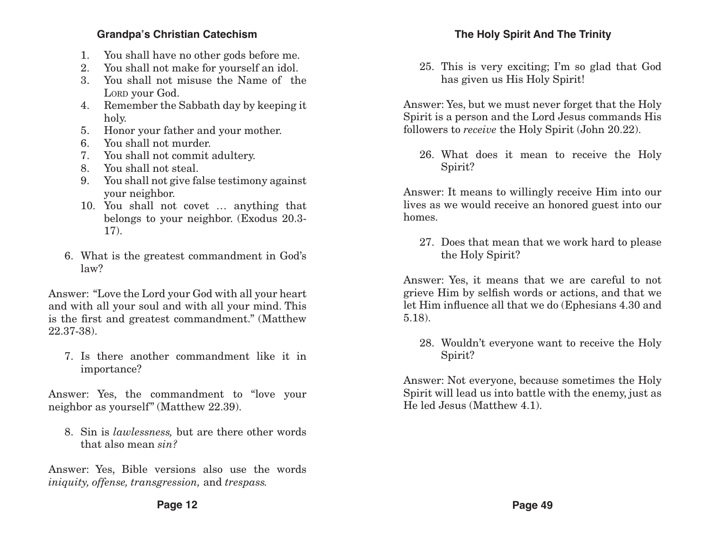- 1. You shall have no other gods before me.
- 2. You shall not make for yourself an idol.
- 3. You shall not misuse the Name of the LORD your God.
- 4. Remember the Sabbath day by keeping it holy.
- 5. Honor your father and your mother.
- 6. You shall not murder.
- 7. You shall not commit adultery.
- 8. You shall not steal.
- 9. You shall not give false testimony against your neighbor.
- 10. You shall not covet … anything that belongs to your neighbor. (Exodus 20.3- 17).
- 6. What is the greatest commandment in God's law?

Answer: "Love the Lord your God with all your heart and with all your soul and with all your mind. This is the first and greatest commandment." (Matthew 22.37-38).

7. Is there another commandment like it in importance?

Answer: Yes, the commandment to "love your neighbor as yourself" (Matthew 22.39).

8. Sin is *lawlessness,* but are there other words that also mean *sin?*

Answer: Yes, Bible versions also use the words *iniquity, offense, transgression,* and *trespass.*

25. This is very exciting; I'm so glad that God has given us His Holy Spirit!

Answer: Yes, but we must never forget that the Holy Spirit is a person and the Lord Jesus commands His followers to *receive* the Holy Spirit (John 20.22).

26. What does it mean to receive the Holy Spirit?

Answer: It means to willingly receive Him into our lives as we would receive an honored guest into our homes.

27. Does that mean that we work hard to please the Holy Spirit?

Answer: Yes, it means that we are careful to not grieve Him by selfish words or actions, and that we let Him influence all that we do (Ephesians 4.30 and 5.18).

28. Wouldn't everyone want to receive the Holy Spirit?

Answer: Not everyone, because sometimes the Holy Spirit will lead us into battle with the enemy, just as He led Jesus (Matthew 4.1).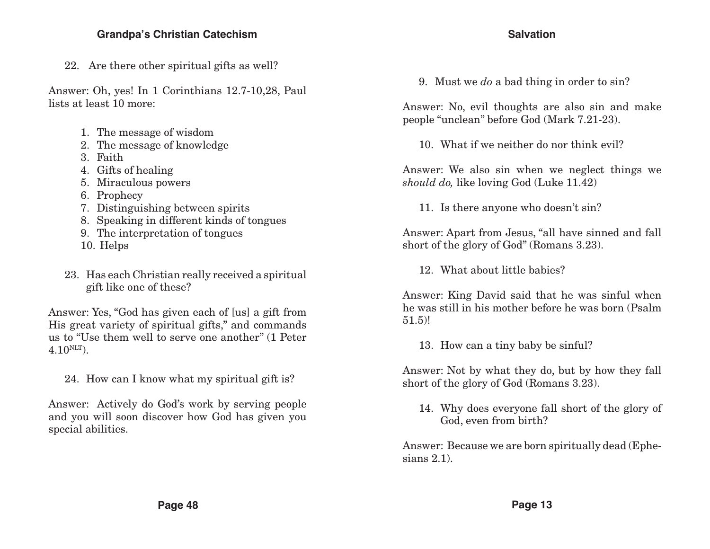22. Are there other spiritual gifts as well?

Answer: Oh, yes! In 1 Corinthians 12.7-10,28, Paul lists at least 10 more:

- 1. The message of wisdom
- 2. The message of knowledge
- 3. Faith
- 4. Gifts of healing
- 5. Miraculous powers
- 6. Prophecy
- 7. Distinguishing between spirits
- 8. Speaking in different kinds of tongues
- 9. The interpretation of tongues
- 10. Helps
- 23. Has each Christian really received a spiritual gift like one of these?

Answer: Yes, "God has given each of [us] a gift from His great variety of spiritual gifts," and commands us to "Use them well to serve one another" (1 Peter  $4.10^{NLT}$ ).

24. How can I know what my spiritual gift is?

Answer: Actively do God's work by serving people and you will soon discover how God has given you special abilities.

#### **Salvation**

9. Must we *do* a bad thing in order to sin?

Answer: No, evil thoughts are also sin and make people "unclean" before God (Mark 7.21-23).

10. What if we neither do nor think evil?

Answer: We also sin when we neglect things we *should do,* like loving God (Luke 11.42)

11. Is there anyone who doesn't sin?

Answer: Apart from Jesus, "all have sinned and fall short of the glory of God" (Romans 3.23).

12. What about little babies?

Answer: King David said that he was sinful when he was still in his mother before he was born (Psalm 51.5)!

13. How can a tiny baby be sinful?

Answer: Not by what they do, but by how they fall short of the glory of God (Romans 3.23).

14. Why does everyone fall short of the glory of God, even from birth?

Answer: Because we are born spiritually dead (Ephesians 2.1).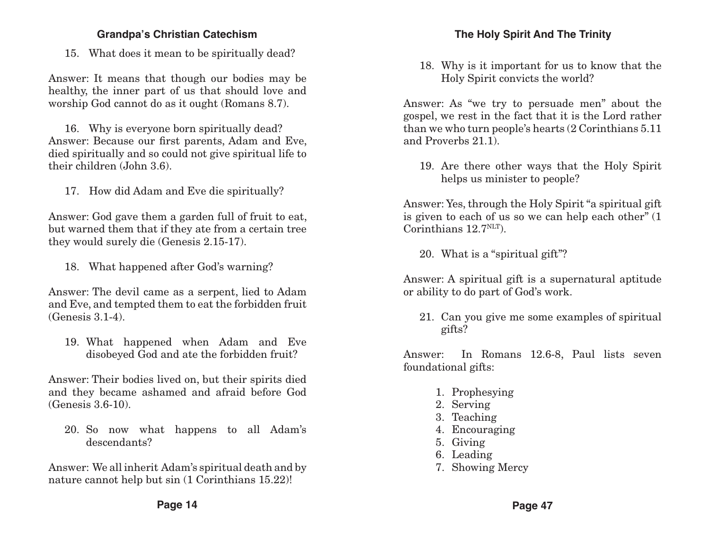15. What does it mean to be spiritually dead?

Answer: It means that though our bodies may be healthy, the inner part of us that should love and worship God cannot do as it ought (Romans 8.7).

16. Why is everyone born spiritually dead? Answer: Because our first parents, Adam and Eve, died spiritually and so could not give spiritual life to their children (John 3.6).

17. How did Adam and Eve die spiritually?

Answer: God gave them a garden full of fruit to eat, but warned them that if they ate from a certain tree they would surely die (Genesis 2.15-17).

18. What happened after God's warning?

Answer: The devil came as a serpent, lied to Adam and Eve, and tempted them to eat the forbidden fruit (Genesis 3.1-4).

19. What happened when Adam and Eve disobeyed God and ate the forbidden fruit?

Answer: Their bodies lived on, but their spirits died and they became ashamed and afraid before God (Genesis 3.6-10).

20. So now what happens to all Adam's descendants?

Answer: We all inherit Adam's spiritual death and by nature cannot help but sin (1 Corinthians 15.22)!

18. Why is it important for us to know that the Holy Spirit convicts the world?

Answer: As "we try to persuade men" about the gospel, we rest in the fact that it is the Lord rather than we who turn people's hearts (2 Corinthians 5.11 and Proverbs 21.1).

19. Are there other ways that the Holy Spirit helps us minister to people?

Answer: Yes, through the Holy Spirit "a spiritual gift is given to each of us so we can help each other" (1 Corinthians  $12.7<sup>NLT</sup>$ .

20. What is a "spiritual gift"?

Answer: A spiritual gift is a supernatural aptitude or ability to do part of God's work.

21. Can you give me some examples of spiritual gifts?

Answer: In Romans 12.6-8, Paul lists seven foundational gifts:

- 1. Prophesying
- 2. Serving
- 3. Teaching
- 4. Encouraging
- 5. Giving
- 6. Leading
- 7. Showing Mercy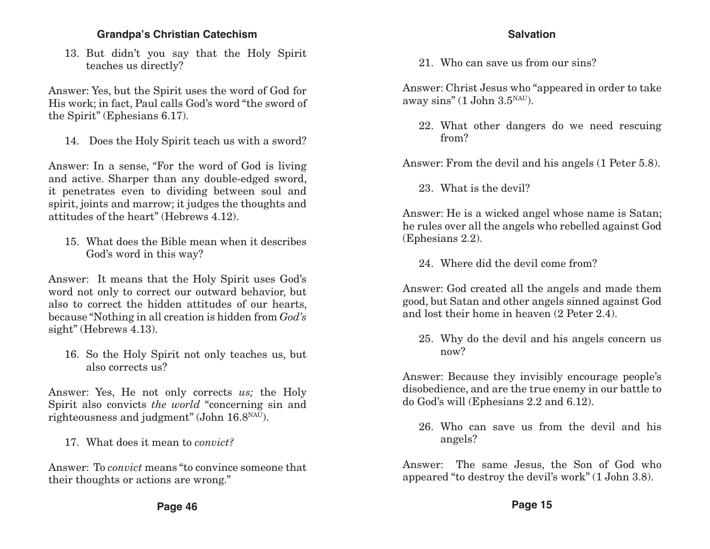13. But didn't you say that the Holy Spirit teaches us directly?

Answer: Yes, but the Spirit uses the word of God for His work; in fact, Paul calls God's word "the sword of the Spirit" (Ephesians 6.17).

14. Does the Holy Spirit teach us with a sword?

Answer: In a sense, "For the word of God is living and active. Sharper than any double-edged sword, it penetrates even to dividing between soul and spirit, joints and marrow; it judges the thoughts and attitudes of the heart" (Hebrews 4.12).

15. What does the Bible mean when it describes God's word in this way?

Answer: It means that the Holy Spirit uses God's word not only to correct our outward behavior, but also to correct the hidden attitudes of our hearts, because "Nothing in all creation is hidden from *God's* sight" (Hebrews 4.13).

16. So the Holy Spirit not only teaches us, but also corrects us?

Answer: Yes, He not only corrects *us;* the Holy Spirit also convicts *the world* "concerning sin and righteousness and judgment" (John  $16.8<sup>NAU</sup>$ ).

17. What does it mean to *convict?*

Answer: To *convict* means "to convince someone that their thoughts or actions are wrong."

#### **Salvation**

21. Who can save us from our sins?

Answer: Christ Jesus who "appeared in order to take away sins" (1 John  $3.5<sup>NAU</sup>$ ).

22. What other dangers do we need rescuing from?

Answer: From the devil and his angels (1 Peter 5.8).

23. What is the devil?

Answer: He is a wicked angel whose name is Satan; he rules over all the angels who rebelled against God (Ephesians 2.2).

24. Where did the devil come from?

Answer: God created all the angels and made them good, but Satan and other angels sinned against God and lost their home in heaven (2 Peter 2.4).

25. Why do the devil and his angels concern us now?

Answer: Because they invisibly encourage people's disobedience, and are the true enemy in our battle to do God's will (Ephesians 2.2 and 6.12).

26. Who can save us from the devil and his angels?

Answer: The same Jesus, the Son of God who appeared "to destroy the devil's work" (1 John 3.8).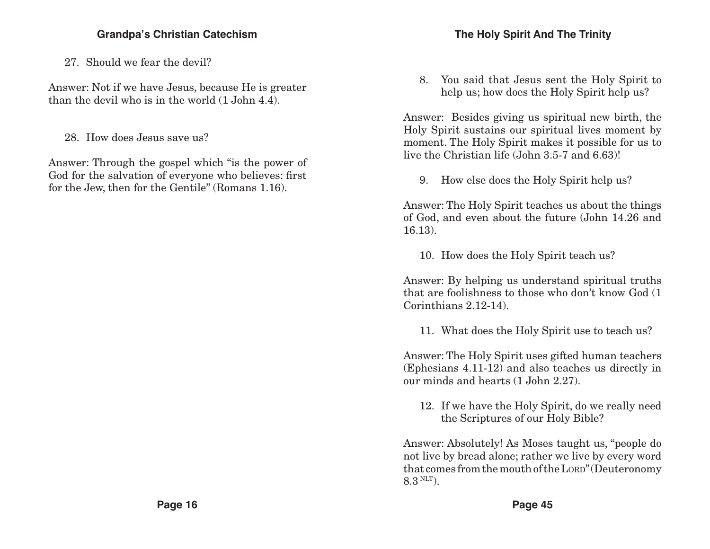27. Should we fear the devil?

Answer: Not if we have Jesus, because He is greater than the devil who is in the world (1 John 4.4).

28. How does Jesus save us?

Answer: Through the gospel which "is the power of God for the salvation of everyone who believes: first for the Jew, then for the Gentile" (Romans 1.16).

8. You said that Jesus sent the Holy Spirit to help us; how does the Holy Spirit help us?

Answer: Besides giving us spiritual new birth, the Holy Spirit sustains our spiritual lives moment by moment. The Holy Spirit makes it possible for us to live the Christian life (John 3.5-7 and 6.63)!

9. How else does the Holy Spirit help us?

Answer: The Holy Spirit teaches us about the things of God, and even about the future (John 14.26 and 16.13).

10. How does the Holy Spirit teach us?

Answer: By helping us understand spiritual truths that are foolishness to those who don't know God (1 Corinthians 2.12-14).

11. What does the Holy Spirit use to teach us?

Answer: The Holy Spirit uses gifted human teachers (Ephesians 4.11-12) and also teaches us directly in our minds and hearts (1 John 2.27).

12. If we have the Holy Spirit, do we really need the Scriptures of our Holy Bible?

Answer: Absolutely! As Moses taught us, "people do not live by bread alone; rather we live by every word that comes from the mouth of the LORD" (Deuteronomy 8.3 NLT).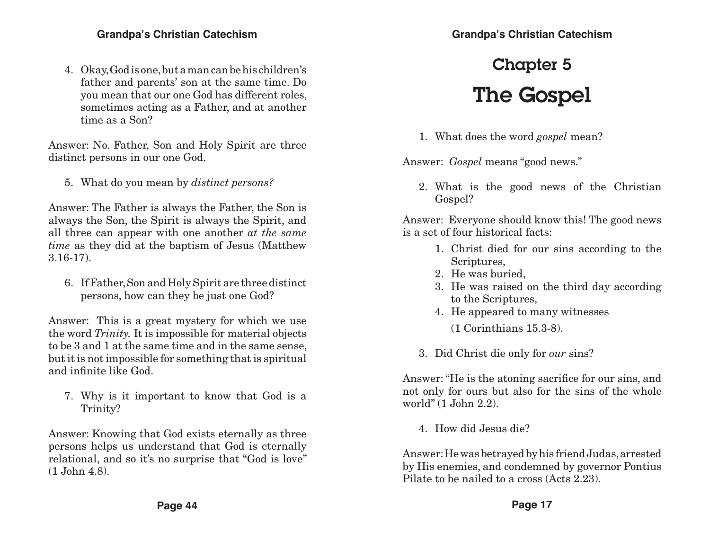4. Okay, God is one, but a man can be his children's father and parents' son at the same time. Do you mean that our one God has different roles, sometimes acting as a Father, and at another time as a Son?

Answer: No. Father, Son and Holy Spirit are three distinct persons in our one God.

5. What do you mean by *distinct persons?*

Answer: The Father is always the Father, the Son is always the Son, the Spirit is always the Spirit, and all three can appear with one another *at the same time* as they did at the baptism of Jesus (Matthew 3.16-17).

6. If Father, Son and Holy Spirit are three distinct persons, how can they be just one God?

Answer: This is a great mystery for which we use the word *Trinity.* It is impossible for material objects to be 3 and 1 at the same time and in the same sense, but it is not impossible for something that is spiritual and infinite like God.

7. Why is it important to know that God is a Trinity?

Answer: Knowing that God exists eternally as three persons helps us understand that God is eternally relational, and so it's no surprise that "God is love" (1 John 4.8).

## Chapter 5 The Gospel

1. What does the word *gospel* mean?

Answer: *Gospel* means "good news."

2. What is the good news of the Christian Gospel?

Answer: Everyone should know this! The good news is a set of four historical facts:

- 1. Christ died for our sins according to the Scriptures,
- 2. He was buried,
- 3. He was raised on the third day according to the Scriptures,
- 4. He appeared to many witnesses
	- (1 Corinthians 15.3-8).
- 3. Did Christ die only for *our* sins?

Answer: "He is the atoning sacrifice for our sins, and not only for ours but also for the sins of the whole world" (1 John 2.2).

4. How did Jesus die?

Answer: He was betrayed by his friend Judas, arrested by His enemies, and condemned by governor Pontius Pilate to be nailed to a cross (Acts 2.23).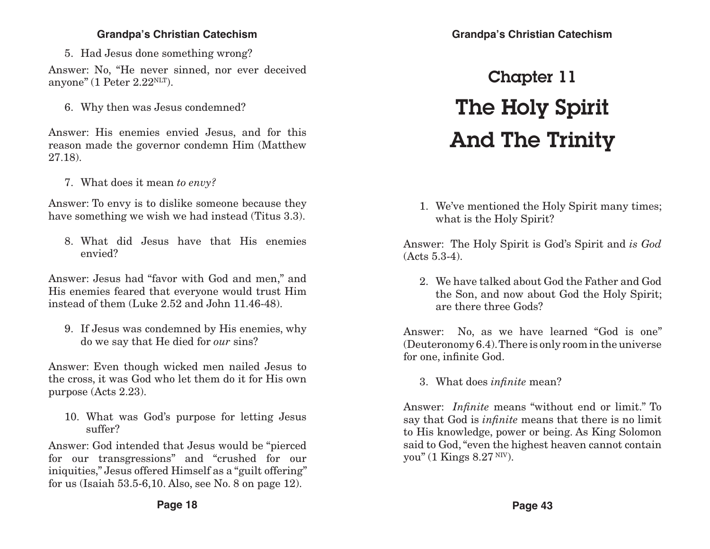5. Had Jesus done something wrong?

Answer: No, "He never sinned, nor ever deceived anyone" (1 Peter  $2.22<sup>NLT</sup>$ ).

6. Why then was Jesus condemned?

Answer: His enemies envied Jesus, and for this reason made the governor condemn Him (Matthew 27.18).

7. What does it mean *to envy?*

Answer: To envy is to dislike someone because they have something we wish we had instead (Titus 3.3).

8. What did Jesus have that His enemies envied?

Answer: Jesus had "favor with God and men," and His enemies feared that everyone would trust Him instead of them (Luke 2.52 and John 11.46-48).

9. If Jesus was condemned by His enemies, why do we say that He died for *our* sins?

Answer: Even though wicked men nailed Jesus to the cross, it was God who let them do it for His own purpose (Acts 2.23).

10. What was God's purpose for letting Jesus suffer?

Answer: God intended that Jesus would be "pierced for our transgressions" and "crushed for our iniquities," Jesus offered Himself as a "guilt offering" for us (Isaiah 53.5-6,10. Also, see No. 8 on page 12).

### **Grandpa's Christian Catechism**

# Chapter 11 The Holy Spirit And The Trinity

1. We've mentioned the Holy Spirit many times; what is the Holy Spirit?

Answer: The Holy Spirit is God's Spirit and *is God* (Acts 5.3-4).

2. We have talked about God the Father and God the Son, and now about God the Holy Spirit; are there three Gods?

Answer: No, as we have learned "God is one" (Deuteronomy 6.4). There is only room in the universe for one, infinite God.

3. What does *infinite* mean?

Answer: *Infinite* means "without end or limit." To say that God is *infinite* means that there is no limit to His knowledge, power or being. As King Solomon said to God, "even the highest heaven cannot contain you" (1 Kings  $8.27<sup>NIV</sup>$ ).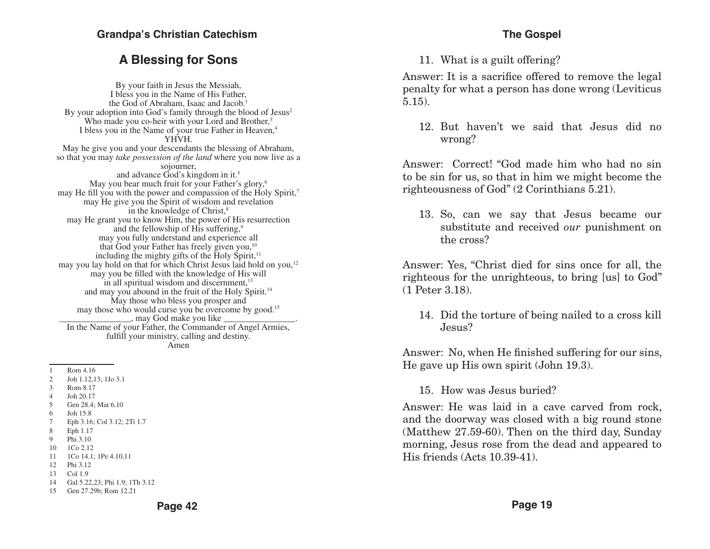### **A Blessing for Sons**

By your faith in Jesus the Messiah, I bless you in the Name of His Father, the God of Abraham, Isaac and Jacob.<sup>1</sup> By your adoption into God's family through the blood of  $Jesus<sup>2</sup>$ Who made you co-heir with your Lord and Brother,<sup>3</sup> I bless you in the Name of your true Father in Heaven,<sup>4</sup> YHVH. May he give you and your descendants the blessing of Abraham, so that you may *take possession of the land* where you now live as a sojourner, and advance God's kingdom in it.5 May you bear much fruit for your Father's glory,<sup>6</sup> may He fill you with the power and compassion of the Holy Spirit,<sup>7</sup> may He give you the Spirit of wisdom and revelation in the knowledge of Christ, $8$ may He grant you to know Him, the power of His resurrection and the fellowship of His suffering,<sup>9</sup> may you fully understand and experience all that God your Father has freely given you,<sup>10</sup> including the mighty gifts of the  $\text{Holy}$  Spirit,<sup>11</sup> may you lay hold on that for which Christ Jesus laid hold on you,<sup>12</sup> may you be filled with the knowledge of His will in all spiritual wisdom and discernment, $^{13}$ and may you abound in the fruit of the Holy Spirit.14 May those who bless you prosper and may those who would curse you be overcome by good.<sup>15</sup> \_\_\_\_\_\_\_\_\_\_\_\_\_\_\_\_, may God make you like \_\_\_\_\_\_\_\_\_\_\_\_\_\_\_\_. In the Name of your Father, the Commander of Angel Armies, fulfill your ministry, calling and destiny. Amen

1 Rom 4.16

- 2 Joh 1.12,13; 1Jo 3.1
- 3 Rom 8.17
- 4 Joh 20.17
- 5 Gen 28.4; Mat 6.10
- 6 Joh 15.8
- 7 Eph 3.16; Col 3.12; 2Ti 1.7
- 8 Eph 1.17
- 9 Phi 3.10
- 10 1Co 2.12
- 11 1Co 14.1; 1Pe 4.10,11 12 Phi 3.12
- 13 Col 1.9
- 
- 14 Gal 5.22,23; Phi 1.9; 1Th 3.12
- 15 Gen 27.29b; Rom 12.21

11. What is a guilt offering?

Answer: It is a sacrifice offered to remove the legal penalty for what a person has done wrong (Leviticus 5.15).

12. But haven't we said that Jesus did no wrong?

Answer: Correct! "God made him who had no sin to be sin for us, so that in him we might become the righteousness of God" (2 Corinthians 5.21).

13. So, can we say that Jesus became our substitute and received *our* punishment on the cross?

Answer: Yes, "Christ died for sins once for all, the righteous for the unrighteous, to bring [us] to God" (1 Peter 3.18).

14. Did the torture of being nailed to a cross kill Jesus?

Answer: No, when He finished suffering for our sins, He gave up His own spirit (John 19.3).

15. How was Jesus buried?

Answer: He was laid in a cave carved from rock, and the doorway was closed with a big round stone (Matthew 27.59-60). Then on the third day, Sunday morning, Jesus rose from the dead and appeared to His friends (Acts 10.39-41).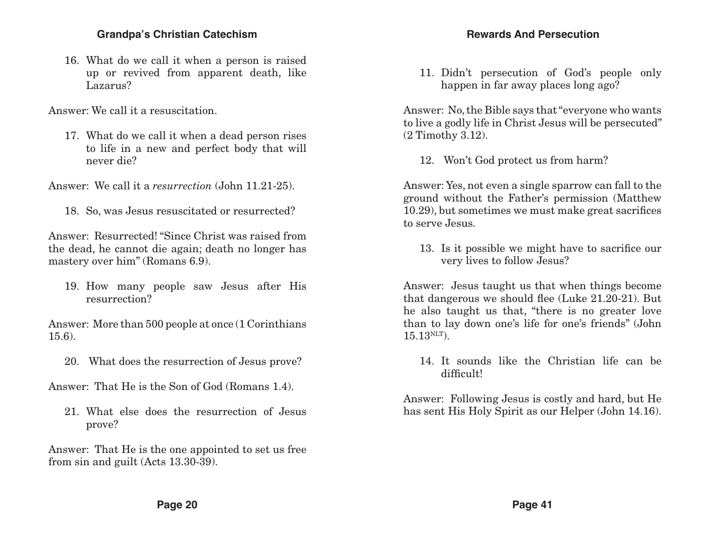16. What do we call it when a person is raised up or revived from apparent death, like Lazarus?

Answer: We call it a resuscitation.

17. What do we call it when a dead person rises to life in a new and perfect body that will never die?

Answer: We call it a *resurrection* (John 11.21-25).

18. So, was Jesus resuscitated or resurrected?

Answer: Resurrected! "Since Christ was raised from the dead, he cannot die again; death no longer has mastery over him" (Romans 6.9).

19. How many people saw Jesus after His resurrection?

Answer: More than 500 people at once (1 Corinthians 15.6).

20. What does the resurrection of Jesus prove?

Answer: That He is the Son of God (Romans 1.4).

21. What else does the resurrection of Jesus prove?

Answer: That He is the one appointed to set us free from sin and guilt (Acts 13.30-39).

11. Didn't persecution of God's people only happen in far away places long ago?

Answer: No, the Bible says that "everyone who wants to live a godly life in Christ Jesus will be persecuted" (2 Timothy 3.12).

12. Won't God protect us from harm?

Answer: Yes, not even a single sparrow can fall to the ground without the Father's permission (Matthew 10.29), but sometimes we must make great sacrifices to serve Jesus.

13. Is it possible we might have to sacrifice our very lives to follow Jesus?

Answer: Jesus taught us that when things become that dangerous we should flee (Luke 21.20-21). But he also taught us that, "there is no greater love than to lay down one's life for one's friends" (John  $15.13$ <sup>NLT</sup>).

14. It sounds like the Christian life can be difficult!

Answer: Following Jesus is costly and hard, but He has sent His Holy Spirit as our Helper (John 14.16).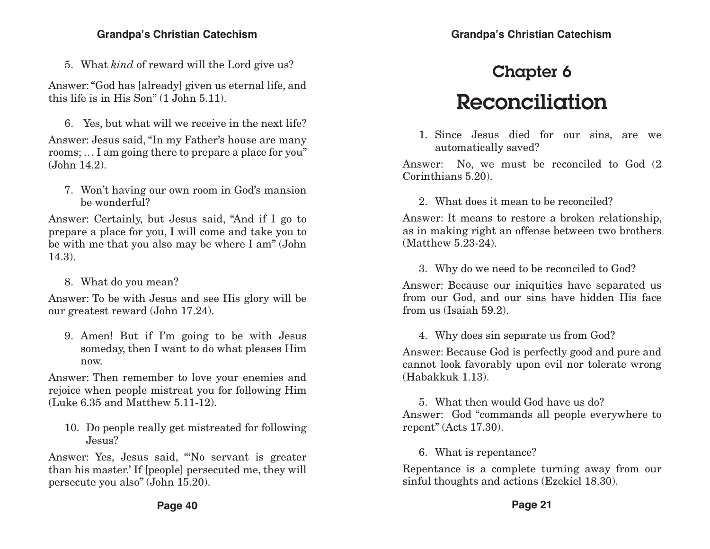5. What *kind* of reward will the Lord give us?

Answer: "God has [already] given us eternal life, and this life is in His Son" (1 John 5.11).

6. Yes, but what will we receive in the next life? Answer: Jesus said, "In my Father's house are many rooms; … I am going there to prepare a place for you" (John 14.2).

7. Won't having our own room in God's mansion be wonderful?

Answer: Certainly, but Jesus said, "And if I go to prepare a place for you, I will come and take you to be with me that you also may be where I am" (John 14.3).

8. What do you mean?

Answer: To be with Jesus and see His glory will be our greatest reward (John 17.24).

9. Amen! But if I'm going to be with Jesus someday, then I want to do what pleases Him now.

Answer: Then remember to love your enemies and rejoice when people mistreat you for following Him (Luke 6.35 and Matthew 5.11-12).

10. Do people really get mistreated for following Jesus?

Answer: Yes, Jesus said, "'No servant is greater than his master.' If [people] persecuted me, they will persecute you also" (John 15.20).

## Chapter 6 Reconciliation

1. Since Jesus died for our sins, are we automatically saved?

Answer: No, we must be reconciled to God (2 Corinthians 5.20).

2. What does it mean to be reconciled?

Answer: It means to restore a broken relationship, as in making right an offense between two brothers (Matthew 5.23-24).

3. Why do we need to be reconciled to God?

Answer: Because our iniquities have separated us from our God, and our sins have hidden His face from us (Isaiah 59.2).

4. Why does sin separate us from God?

Answer: Because God is perfectly good and pure and cannot look favorably upon evil nor tolerate wrong (Habakkuk 1.13).

5. What then would God have us do? Answer: God "commands all people everywhere to repent" (Acts 17.30).

6. What is repentance?

Repentance is a complete turning away from our sinful thoughts and actions (Ezekiel 18.30).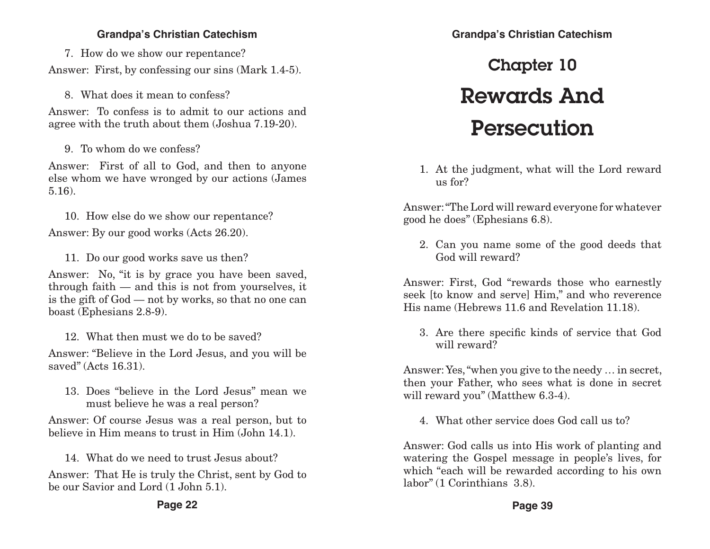7. How do we show our repentance? Answer: First, by confessing our sins (Mark 1.4-5).

8. What does it mean to confess?

Answer: To confess is to admit to our actions and agree with the truth about them (Joshua 7.19-20).

9. To whom do we confess?

Answer: First of all to God, and then to anyone else whom we have wronged by our actions (James 5.16).

10. How else do we show our repentance? Answer: By our good works (Acts 26.20).

11. Do our good works save us then?

Answer: No, "it is by grace you have been saved, through faith — and this is not from yourselves, it is the gift of God — not by works, so that no one can boast (Ephesians 2.8-9).

12. What then must we do to be saved?

Answer: "Believe in the Lord Jesus, and you will be saved" (Acts 16.31).

13. Does "believe in the Lord Jesus" mean we must believe he was a real person?

Answer: Of course Jesus was a real person, but to believe in Him means to trust in Him (John 14.1).

14. What do we need to trust Jesus about? Answer: That He is truly the Christ, sent by God to be our Savior and Lord (1 John 5.1).

# Chapter 10 Rewards And Persecution

1. At the judgment, what will the Lord reward us for?

Answer: "The Lord will reward everyone for whatever good he does" (Ephesians 6.8).

2. Can you name some of the good deeds that God will reward?

Answer: First, God "rewards those who earnestly seek [to know and serve] Him," and who reverence His name (Hebrews 11.6 and Revelation 11.18).

3. Are there specific kinds of service that God will reward?

Answer: Yes, "when you give to the needy … in secret, then your Father, who sees what is done in secret will reward you" (Matthew 6.3-4).

4. What other service does God call us to?

Answer: God calls us into His work of planting and watering the Gospel message in people's lives, for which "each will be rewarded according to his own labor" (1 Corinthians 3.8).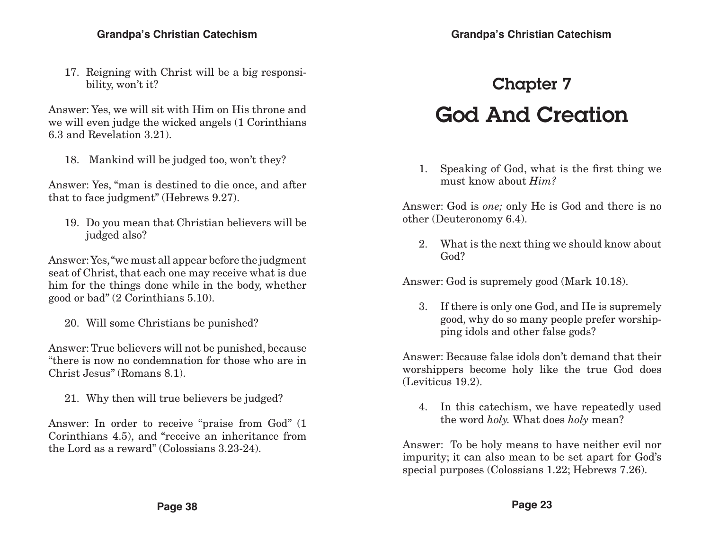17. Reigning with Christ will be a big responsibility, won't it?

Answer: Yes, we will sit with Him on His throne and we will even judge the wicked angels (1 Corinthians 6.3 and Revelation 3.21).

18. Mankind will be judged too, won't they?

Answer: Yes, "man is destined to die once, and after that to face judgment" (Hebrews 9.27).

19. Do you mean that Christian believers will be judged also?

Answer: Yes, "we must all appear before the judgment seat of Christ, that each one may receive what is due him for the things done while in the body, whether good or bad" (2 Corinthians 5.10).

20. Will some Christians be punished?

Answer: True believers will not be punished, because "there is now no condemnation for those who are in Christ Jesus" (Romans 8.1).

21. Why then will true believers be judged?

Answer: In order to receive "praise from God" (1 Corinthians 4.5), and "receive an inheritance from the Lord as a reward" (Colossians 3.23-24).

**Page 38**

# **Grandpa's Christian Catechism**

## Chapter 7 God And Creation

1. Speaking of God, what is the first thing we must know about *Him?*

Answer: God is *one;* only He is God and there is no other (Deuteronomy 6.4).

2. What is the next thing we should know about God?

Answer: God is supremely good (Mark 10.18).

3. If there is only one God, and He is supremely good, why do so many people prefer worshipping idols and other false gods?

Answer: Because false idols don't demand that their worshippers become holy like the true God does (Leviticus 19.2).

4. In this catechism, we have repeatedly used the word *holy.* What does *holy* mean?

Answer: To be holy means to have neither evil nor impurity; it can also mean to be set apart for God's special purposes (Colossians 1.22; Hebrews 7.26).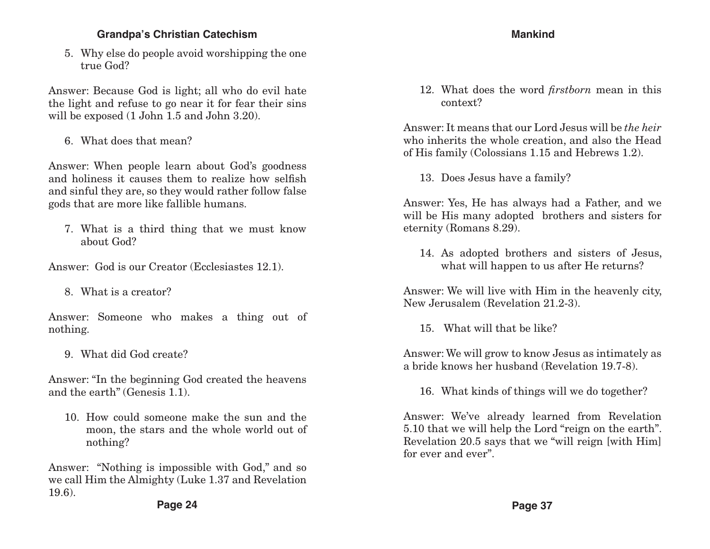5. Why else do people avoid worshipping the one true God?

Answer: Because God is light; all who do evil hate the light and refuse to go near it for fear their sins will be exposed (1 John 1.5 and John 3.20).

6. What does that mean?

Answer: When people learn about God's goodness and holiness it causes them to realize how selfish and sinful they are, so they would rather follow false gods that are more like fallible humans.

7. What is a third thing that we must know about God?

Answer: God is our Creator (Ecclesiastes 12.1).

8. What is a creator?

Answer: Someone who makes a thing out of nothing.

9. What did God create?

Answer: "In the beginning God created the heavens and the earth" (Genesis 1.1).

10. How could someone make the sun and the moon, the stars and the whole world out of nothing?

Answer: "Nothing is impossible with God," and so we call Him the Almighty (Luke 1.37 and Revelation 19.6).

### **Mankind**

12. What does the word *firstborn* mean in this context?

Answer: It means that our Lord Jesus will be *the heir* who inherits the whole creation, and also the Head of His family (Colossians 1.15 and Hebrews 1.2).

13. Does Jesus have a family?

Answer: Yes, He has always had a Father, and we will be His many adopted brothers and sisters for eternity (Romans 8.29).

14. As adopted brothers and sisters of Jesus, what will happen to us after He returns?

Answer: We will live with Him in the heavenly city, New Jerusalem (Revelation 21.2-3).

15. What will that be like?

Answer: We will grow to know Jesus as intimately as a bride knows her husband (Revelation 19.7-8).

16. What kinds of things will we do together?

Answer: We've already learned from Revelation 5.10 that we will help the Lord "reign on the earth". Revelation 20.5 says that we "will reign [with Him] for ever and ever".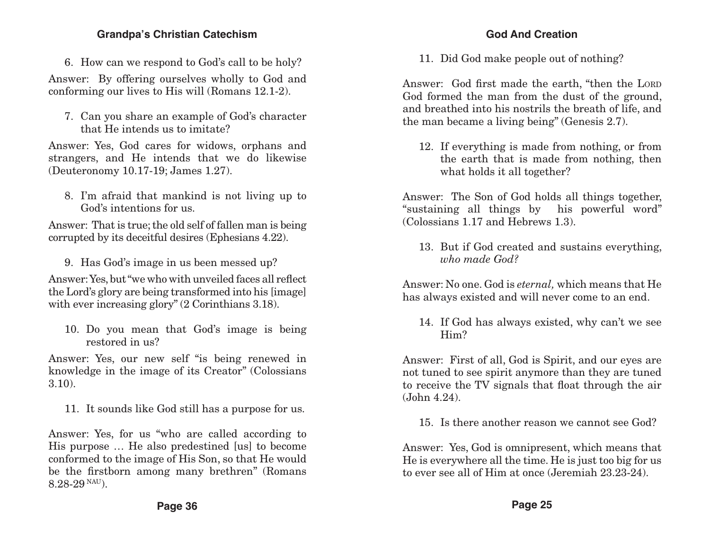6. How can we respond to God's call to be holy?

Answer: By offering ourselves wholly to God and conforming our lives to His will (Romans 12.1-2).

7. Can you share an example of God's character that He intends us to imitate?

Answer: Yes, God cares for widows, orphans and strangers, and He intends that we do likewise (Deuteronomy 10.17-19; James 1.27).

8. I'm afraid that mankind is not living up to God's intentions for us.

Answer: That is true; the old self of fallen man is being corrupted by its deceitful desires (Ephesians 4.22).

9. Has God's image in us been messed up?

Answer: Yes, but "we who with unveiled faces all reflect the Lord's glory are being transformed into his [image] with ever increasing glory" (2 Corinthians 3.18).

10. Do you mean that God's image is being restored in us?

Answer: Yes, our new self "is being renewed in knowledge in the image of its Creator" (Colossians 3.10).

11. It sounds like God still has a purpose for us.

Answer: Yes, for us "who are called according to His purpose … He also predestined [us] to become conformed to the image of His Son, so that He would be the firstborn among many brethren" (Romans 8.28-29 NAU).

#### **God And Creation**

11. Did God make people out of nothing?

Answer: God first made the earth, "then the LORD God formed the man from the dust of the ground, and breathed into his nostrils the breath of life, and the man became a living being" (Genesis 2.7).

12. If everything is made from nothing, or from the earth that is made from nothing, then what holds it all together?

Answer: The Son of God holds all things together, "sustaining all things by his powerful word" (Colossians 1.17 and Hebrews 1.3).

13. But if God created and sustains everything, *who made God?*

Answer: No one. God is *eternal,* which means that He has always existed and will never come to an end.

14. If God has always existed, why can't we see Him?

Answer: First of all, God is Spirit, and our eyes are not tuned to see spirit anymore than they are tuned to receive the TV signals that float through the air (John 4.24).

15. Is there another reason we cannot see God?

Answer: Yes, God is omnipresent, which means that He is everywhere all the time. He is just too big for us to ever see all of Him at once (Jeremiah 23.23-24).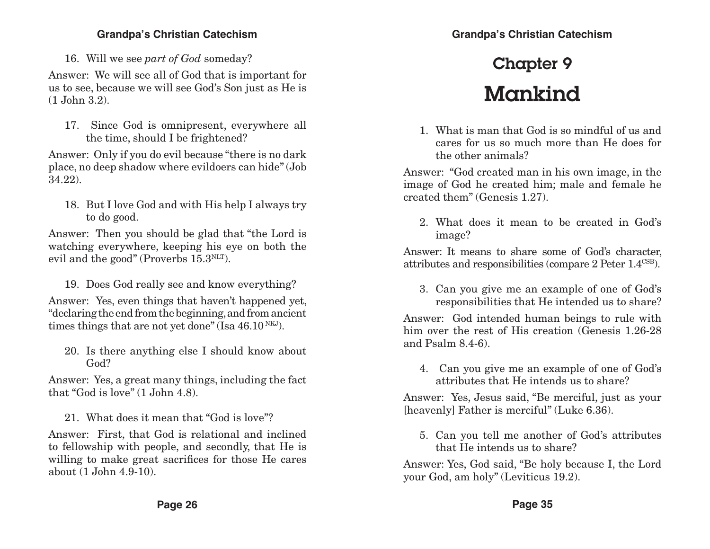16. Will we see *part of God* someday?

Answer: We will see all of God that is important for us to see, because we will see God's Son just as He is (1 John 3.2).

17. Since God is omnipresent, everywhere all the time, should I be frightened?

Answer: Only if you do evil because "there is no dark place, no deep shadow where evildoers can hide" (Job 34.22).

18. But I love God and with His help I always try to do good.

Answer: Then you should be glad that "the Lord is watching everywhere, keeping his eye on both the evil and the good" (Proverbs  $15.3$ <sup>NLT</sup>).

19. Does God really see and know everything?

Answer: Yes, even things that haven't happened yet, "declaring the end from the beginning, and from ancient times things that are not yet done" (Isa  $46.10<sup>NKJ</sup>$ ).

20. Is there anything else I should know about God?

Answer: Yes, a great many things, including the fact that "God is love" (1 John 4.8).

21. What does it mean that "God is love"?

Answer: First, that God is relational and inclined to fellowship with people, and secondly, that He is willing to make great sacrifices for those He cares about (1 John 4.9-10).

## Chapter 9 Mankind

1. What is man that God is so mindful of us and cares for us so much more than He does for the other animals?

Answer: "God created man in his own image, in the image of God he created him; male and female he created them" (Genesis 1.27).

2. What does it mean to be created in God's image?

Answer: It means to share some of God's character, attributes and responsibilities (compare 2 Peter 1.4CSB).

3. Can you give me an example of one of God's responsibilities that He intended us to share?

Answer: God intended human beings to rule with him over the rest of His creation (Genesis 1.26-28 and Psalm 8.4-6).

4. Can you give me an example of one of God's attributes that He intends us to share?

Answer: Yes, Jesus said, "Be merciful, just as your [heavenly] Father is merciful" (Luke 6.36).

5. Can you tell me another of God's attributes that He intends us to share?

Answer: Yes, God said, "Be holy because I, the Lord your God, am holy" (Leviticus 19.2).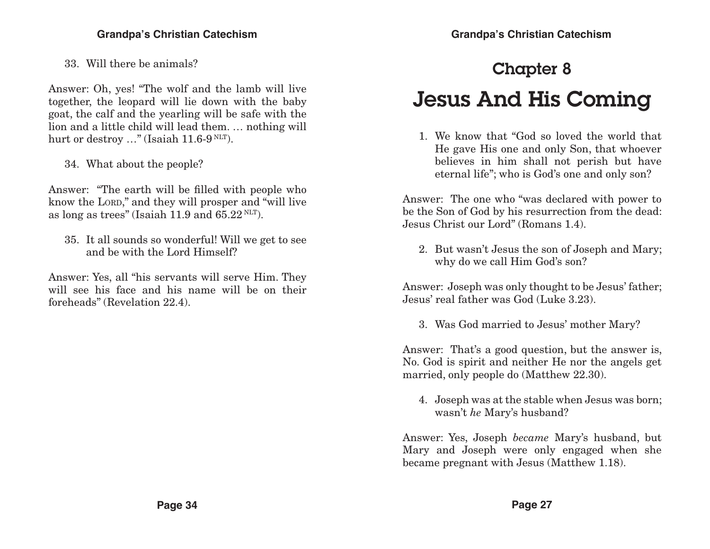33. Will there be animals?

Answer: Oh, yes! "The wolf and the lamb will live together, the leopard will lie down with the baby goat, the calf and the yearling will be safe with the lion and a little child will lead them. … nothing will hurt or destroy ..." (Isaiah 11.6-9 NLT).

34. What about the people?

Answer: "The earth will be filled with people who know the LORD," and they will prosper and "will live" as long as trees" (Isaiah 11.9 and  $65.22$  NLT).

35. It all sounds so wonderful! Will we get to see and be with the Lord Himself?

Answer: Yes, all "his servants will serve Him. They will see his face and his name will be on their foreheads" (Revelation 22.4).

## Chapter 8

## Jesus And His Coming

1. We know that "God so loved the world that He gave His one and only Son, that whoever believes in him shall not perish but have eternal life"; who is God's one and only son?

Answer: The one who "was declared with power to be the Son of God by his resurrection from the dead: Jesus Christ our Lord" (Romans 1.4).

2. But wasn't Jesus the son of Joseph and Mary; why do we call Him God's son?

Answer: Joseph was only thought to be Jesus' father; Jesus' real father was God (Luke 3.23).

3. Was God married to Jesus' mother Mary?

Answer: That's a good question, but the answer is, No. God is spirit and neither He nor the angels get married, only people do (Matthew 22.30).

4. Joseph was at the stable when Jesus was born; wasn't *he* Mary's husband?

Answer: Yes, Joseph *became* Mary's husband, but Mary and Joseph were only engaged when she became pregnant with Jesus (Matthew 1.18).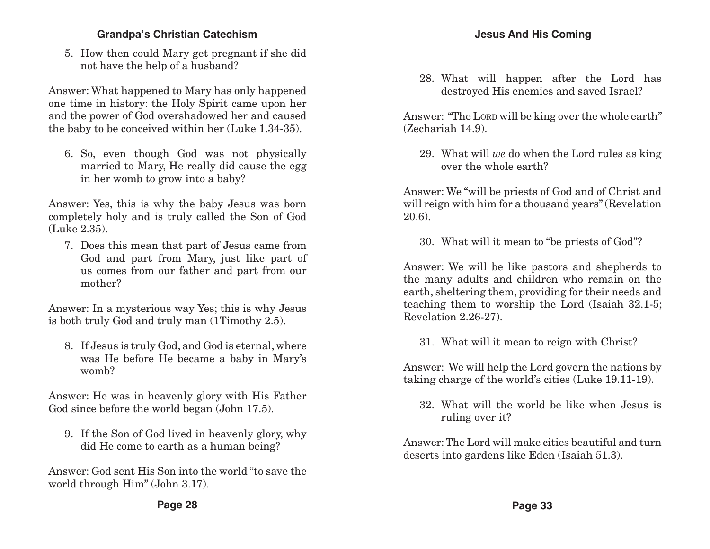5. How then could Mary get pregnant if she did not have the help of a husband?

Answer: What happened to Mary has only happened one time in history: the Holy Spirit came upon her and the power of God overshadowed her and caused the baby to be conceived within her (Luke 1.34-35).

6. So, even though God was not physically married to Mary, He really did cause the egg in her womb to grow into a baby?

Answer: Yes, this is why the baby Jesus was born completely holy and is truly called the Son of God (Luke 2.35).

7. Does this mean that part of Jesus came from God and part from Mary, just like part of us comes from our father and part from our mother?

Answer: In a mysterious way Yes; this is why Jesus is both truly God and truly man (1Timothy 2.5).

8. If Jesus is truly God, and God is eternal, where was He before He became a baby in Mary's womb?

Answer: He was in heavenly glory with His Father God since before the world began (John 17.5).

9. If the Son of God lived in heavenly glory, why did He come to earth as a human being?

Answer: God sent His Son into the world "to save the world through Him" (John 3.17).

28. What will happen after the Lord has destroyed His enemies and saved Israel?

Answer: "The LORD will be king over the whole earth" (Zechariah 14.9).

29. What will *we* do when the Lord rules as king over the whole earth?

Answer: We "will be priests of God and of Christ and will reign with him for a thousand years" (Revelation 20.6).

30. What will it mean to "be priests of God"?

Answer: We will be like pastors and shepherds to the many adults and children who remain on the earth, sheltering them, providing for their needs and teaching them to worship the Lord (Isaiah 32.1-5; Revelation 2.26-27).

31. What will it mean to reign with Christ?

Answer: We will help the Lord govern the nations by taking charge of the world's cities (Luke 19.11-19).

32. What will the world be like when Jesus is ruling over it?

Answer: The Lord will make cities beautiful and turn deserts into gardens like Eden (Isaiah 51.3).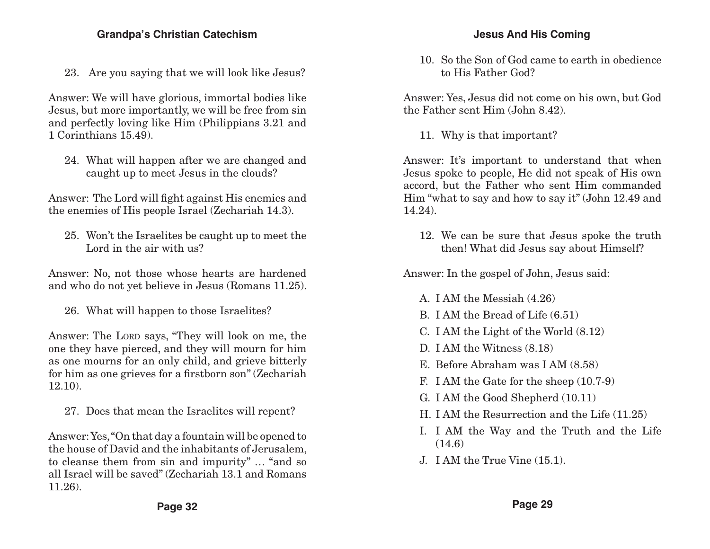23. Are you saying that we will look like Jesus?

Answer: We will have glorious, immortal bodies like Jesus, but more importantly, we will be free from sin and perfectly loving like Him (Philippians 3.21 and 1 Corinthians 15.49).

24. What will happen after we are changed and caught up to meet Jesus in the clouds?

Answer: The Lord will fight against His enemies and the enemies of His people Israel (Zechariah 14.3).

25. Won't the Israelites be caught up to meet the Lord in the air with us?

Answer: No, not those whose hearts are hardened and who do not yet believe in Jesus (Romans 11.25).

26. What will happen to those Israelites?

Answer: The LORD says, "They will look on me, the one they have pierced, and they will mourn for him as one mourns for an only child, and grieve bitterly for him as one grieves for a firstborn son" (Zechariah 12.10).

27. Does that mean the Israelites will repent?

Answer: Yes, "On that day a fountain will be opened to the house of David and the inhabitants of Jerusalem, to cleanse them from sin and impurity" … "and so all Israel will be saved" (Zechariah 13.1 and Romans 11.26).

10. So the Son of God came to earth in obedience to His Father God?

Answer: Yes, Jesus did not come on his own, but God the Father sent Him (John 8.42).

11. Why is that important?

Answer: It's important to understand that when Jesus spoke to people, He did not speak of His own accord, but the Father who sent Him commanded Him "what to say and how to say it" (John 12.49 and 14.24).

12. We can be sure that Jesus spoke the truth then! What did Jesus say about Himself?

Answer: In the gospel of John, Jesus said:

- A. I AM the Messiah (4.26)
- B. I AM the Bread of Life (6.51)
- C. I AM the Light of the World (8.12)
- D. I AM the Witness (8.18)
- E. Before Abraham was I AM (8.58)
- F. I AM the Gate for the sheep (10.7-9)
- G. I AM the Good Shepherd (10.11)
- H. I AM the Resurrection and the Life (11.25)
- I. I AM the Way and the Truth and the Life  $(14.6)$
- J. I AM the True Vine (15.1).